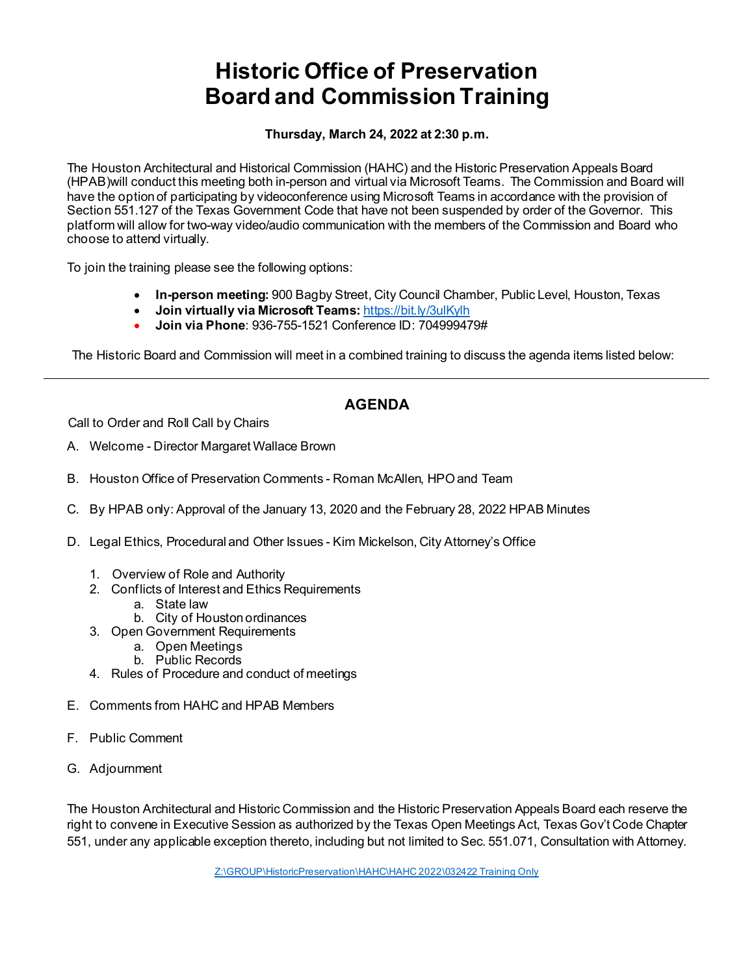# **Historic Office of Preservation Board and Commission Training**

**Thursday, March 24, 2022 at 2:30 p.m.** 

The Houston Architectural and Historical Commission (HAHC) and the Historic Preservation Appeals Board (HPAB)will conduct this meeting both in-person and virtual via Microsoft Teams. The Commission and Board will have the option of participating by videoconference using Microsoft Teams in accordance with the provision of Section 551.127 of the Texas Government Code that have not been suspended by order of the Governor. This platform will allow for two-way video/audio communication with the members of the Commission and Board who choose to attend virtually.

To join the training please see the following options:

- **In-person meeting:** 900 Bagby Street, City Council Chamber, Public Level, Houston, Texas
- **Join virtually via Microsoft Teams:** <https://bit.ly/3ulKylh>
- **Join via Phone**: 936-755-1521 Conference ID: 704999479#

The Historic Board and Commission will meet in a combined training to discuss the agenda items listed below:

## **AGENDA**

Call to Order and Roll Call by Chairs

- A. Welcome Director Margaret Wallace Brown
- B. Houston Office of Preservation Comments Roman McAllen, HPOand Team
- C. By HPAB only: Approval of the January 13, 2020 and the February 28, 2022 HPAB Minutes
- D. Legal Ethics, Procedural and Other Issues Kim Mickelson, City Attorney's Office
	- 1. Overview of Role and Authority
	- 2. Conflicts of Interest and Ethics Requirements
		- a. State law
		- b. City of Houston ordinances
	- 3. Open Government Requirements
		- a. Open Meetings
		- b. Public Records
	- 4. Rules of Procedure and conduct of meetings
- E. Comments from HAHC and HPAB Members
- F. Public Comment
- G. Adjournment

The Houston Architectural and Historic Commission and the Historic Preservation Appeals Board each reserve the right to convene in Executive Session as authorized by the Texas Open Meetings Act, Texas Gov't Code Chapter 551, under any applicable exception thereto, including but not limited to Sec. 551.071, Consultation with Attorney.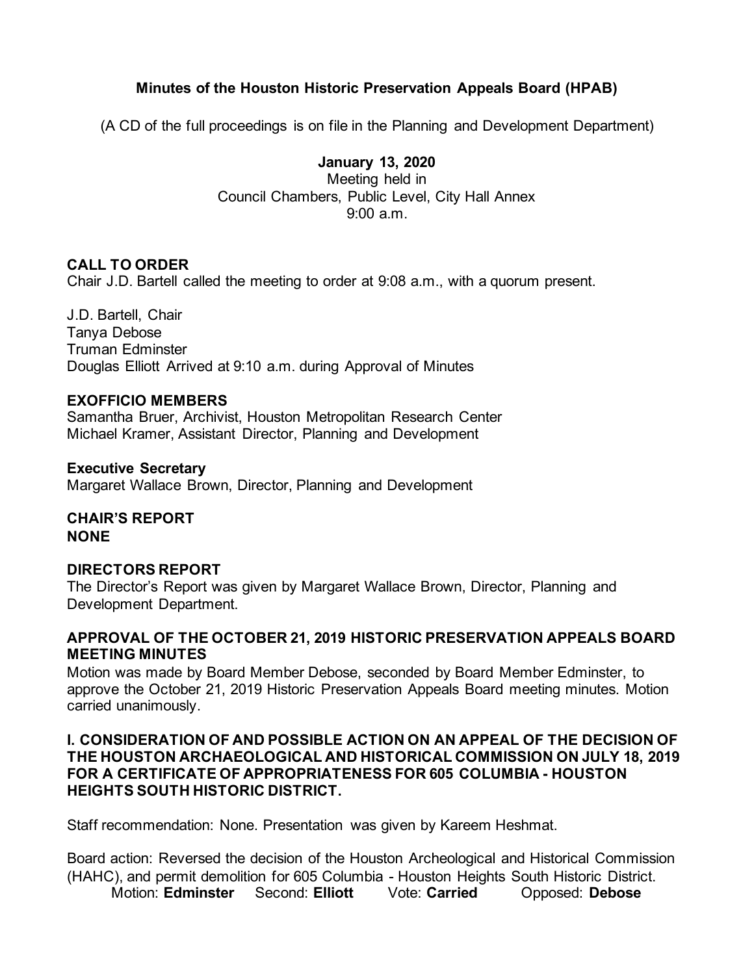## **Minutes of the Houston Historic Preservation Appeals Board (HPAB)**

(A CD of the full proceedings is on file in the Planning and Development Department)

**January 13, 2020** Meeting held in Council Chambers, Public Level, City Hall Annex 9:00 a.m.

## **CALL TO ORDER**

Chair J.D. Bartell called the meeting to order at 9:08 a.m., with a quorum present.

J.D. Bartell, Chair Tanya Debose Truman Edminster Douglas Elliott Arrived at 9:10 a.m. during Approval of Minutes

## **EXOFFICIO MEMBERS**

Samantha Bruer, Archivist, Houston Metropolitan Research Center Michael Kramer, Assistant Director, Planning and Development

**Executive Secretary** Margaret Wallace Brown, Director, Planning and Development

**CHAIR'S REPORT NONE** 

## **DIRECTORS REPORT**

The Director's Report was given by Margaret Wallace Brown, Director, Planning and Development Department.

## **APPROVAL OF THE OCTOBER 21, 2019 HISTORIC PRESERVATION APPEALS BOARD MEETING MINUTES**

Motion was made by Board Member Debose, seconded by Board Member Edminster, to approve the October 21, 2019 Historic Preservation Appeals Board meeting minutes. Motion carried unanimously.

## **I. CONSIDERATION OF AND POSSIBLE ACTION ON AN APPEAL OF THE DECISION OF THE HOUSTON ARCHAEOLOGICAL AND HISTORICAL COMMISSION ON JULY 18, 2019 FOR A CERTIFICATE OF APPROPRIATENESS FOR 605 COLUMBIA - HOUSTON HEIGHTS SOUTH HISTORIC DISTRICT.**

Staff recommendation: None. Presentation was given by Kareem Heshmat.

Board action: Reversed the decision of the Houston Archeological and Historical Commission (HAHC), and permit demolition for 605 Columbia - Houston Heights South Historic District. Motion: **Edminster** Second: **Elliott** Vote: **Carried** Opposed: **Debose**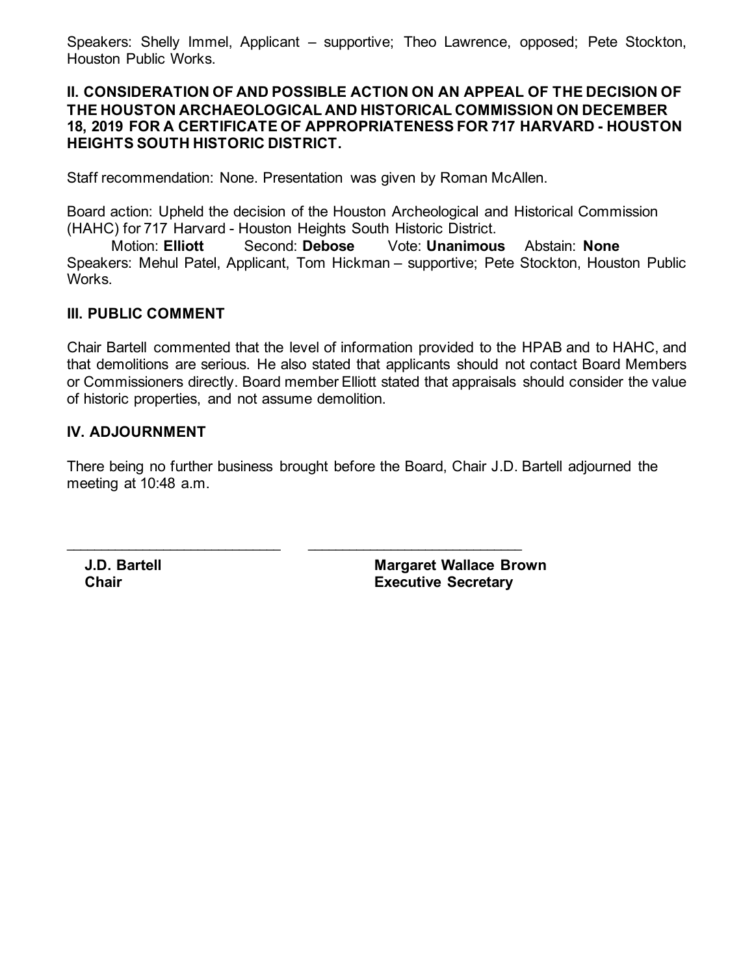Speakers: Shelly Immel, Applicant – supportive; Theo Lawrence, opposed; Pete Stockton, Houston Public Works.

#### **II. CONSIDERATION OF AND POSSIBLE ACTION ON AN APPEAL OF THE DECISION OF THE HOUSTON ARCHAEOLOGICAL AND HISTORICAL COMMISSION ON DECEMBER 18, 2019 FOR A CERTIFICATE OF APPROPRIATENESS FOR 717 HARVARD - HOUSTON HEIGHTS SOUTH HISTORIC DISTRICT.**

Staff recommendation: None. Presentation was given by Roman McAllen.

Board action: Upheld the decision of the Houston Archeological and Historical Commission (HAHC) for 717 Harvard - Houston Heights South Historic District.

Motion: **Elliott** Second: **Debose** Vote: **Unanimous** Abstain: **None** Speakers: Mehul Patel, Applicant, Tom Hickman – supportive; Pete Stockton, Houston Public Works.

## **III. PUBLIC COMMENT**

Chair Bartell commented that the level of information provided to the HPAB and to HAHC, and that demolitions are serious. He also stated that applicants should not contact Board Members or Commissioners directly. Board member Elliott stated that appraisals should consider the value of historic properties, and not assume demolition.

## **IV. ADJOURNMENT**

There being no further business brought before the Board, Chair J.D. Bartell adjourned the meeting at 10:48 a.m.

\_\_\_\_\_\_\_\_\_\_\_\_\_\_\_\_\_\_\_\_\_\_\_\_\_\_\_\_\_\_\_ \_\_\_\_\_\_\_\_\_\_\_\_\_\_\_\_\_\_\_\_\_\_\_\_\_\_\_\_\_\_\_

**J.D. Bartell Chair**

**Margaret Wallace Brown Executive Secretary**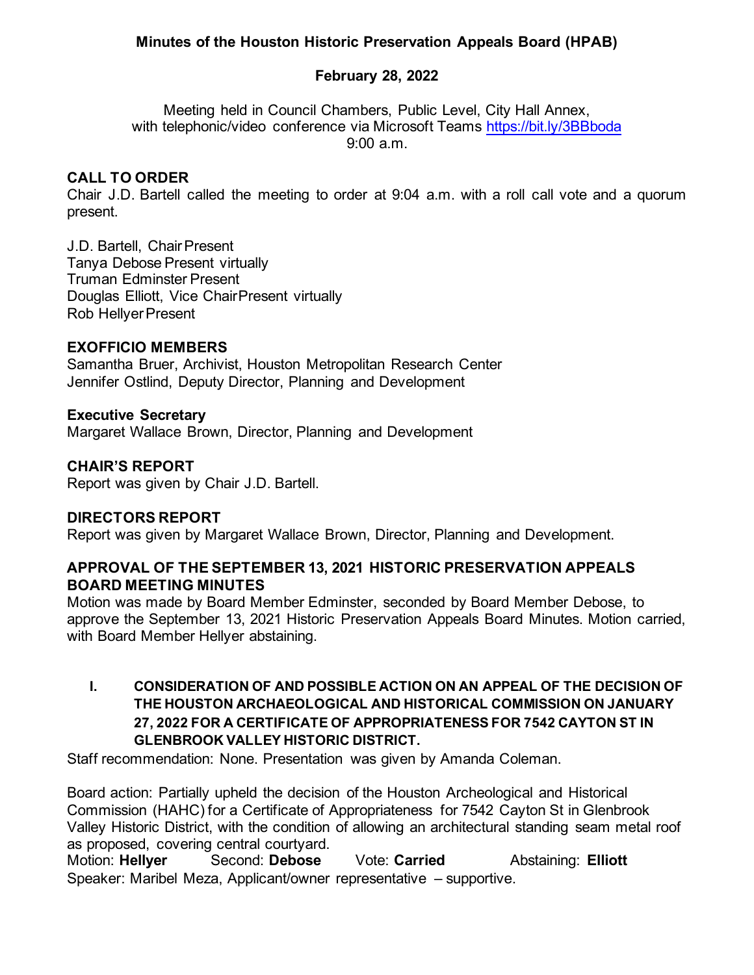## **Minutes of the Houston Historic Preservation Appeals Board (HPAB)**

## **February 28, 2022**

Meeting held in Council Chambers, Public Level, City Hall Annex, with telephonic/video conference via Microsoft Teams <https://bit.ly/3BBboda> 9:00 a.m.

## **CALL TO ORDER**

Chair J.D. Bartell called the meeting to order at 9:04 a.m. with a roll call vote and a quorum present.

J.D. Bartell, Chair Present Tanya Debose Present virtually Truman Edminster Present Douglas Elliott, Vice ChairPresent virtually Rob Hellyer Present

## **EXOFFICIO MEMBERS**

Samantha Bruer, Archivist, Houston Metropolitan Research Center Jennifer Ostlind, Deputy Director, Planning and Development

#### **Executive Secretary**

Margaret Wallace Brown, Director, Planning and Development

#### **CHAIR'S REPORT**

Report was given by Chair J.D. Bartell.

## **DIRECTORS REPORT**

Report was given by Margaret Wallace Brown, Director, Planning and Development.

## **APPROVAL OF THE SEPTEMBER 13, 2021 HISTORIC PRESERVATION APPEALS BOARD MEETING MINUTES**

Motion was made by Board Member Edminster, seconded by Board Member Debose, to approve the September 13, 2021 Historic Preservation Appeals Board Minutes. Motion carried, with Board Member Hellyer abstaining.

## **I. CONSIDERATION OF AND POSSIBLE ACTION ON AN APPEAL OF THE DECISION OF THE HOUSTON ARCHAEOLOGICAL AND HISTORICAL COMMISSION ON JANUARY 27, 2022 FOR A CERTIFICATE OF APPROPRIATENESS FOR 7542 CAYTON ST IN GLENBROOK VALLEY HISTORIC DISTRICT.**

Staff recommendation: None. Presentation was given by Amanda Coleman.

Board action: Partially upheld the decision of the Houston Archeological and Historical Commission (HAHC) for a Certificate of Appropriateness for 7542 Cayton St in Glenbrook Valley Historic District, with the condition of allowing an architectural standing seam metal roof as proposed, covering central courtyard.

Motion: **Hellyer** Second: **Debose** Vote: **Carried** Abstaining: **Elliott** Speaker: Maribel Meza, Applicant/owner representative – supportive.